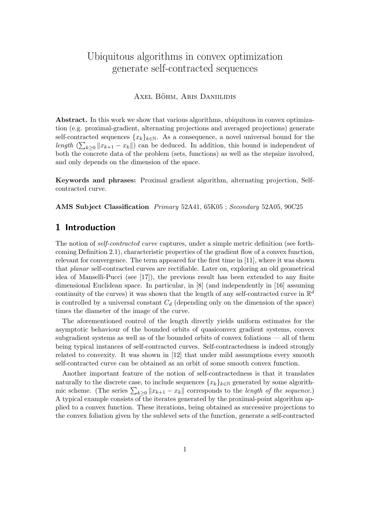# Ubiquitous algorithms in convex optimization generate self-contracted sequences

### AXEL BÖHM, ARIS DANIILIDIS

Abstract. In this work we show that various algorithms, ubiquitous in convex optimization (e.g. proximal-gradient, alternating projections and averaged projections) generate self-contracted sequences  ${x_k}_{k\in\mathbb{N}}$ . As a consequence, a novel universal bound for the length  $(\sum_{k\geq 0} ||x_{k+1} - x_k||)$  can be deduced. In addition, this bound is independent of both the concrete data of the problem (sets, functions) as well as the stepsize involved, and only depends on the dimension of the space.

Keywords and phrases: Proximal gradient algorithm, alternating projection, Selfcontracted curve.

AMS Subject Classification Primary 52A41, 65K05 ; Secondary 52A05, 90C25

# 1 Introduction

The notion of self-contracted curve captures, under a simple metric definition (see forthcoming Definition 2.1), characteristic properties of the gradient flow of a convex function, relevant for convergence. The term appeared for the first time in [11], where it was shown that planar self-contracted curves are rectifiable. Later on, exploring an old geometrical idea of Manselli-Pucci (see [17]), the previous result has been extended to any finite dimensional Euclidean space. In particular, in [8] (and independently in [16] assuming continuity of the curves) it was shown that the length of any self-contracted curve in  $\mathbb{R}^d$ is controlled by a universal constant  $C_d$  (depending only on the dimension of the space) times the diameter of the image of the curve.

The aforementioned control of the length directly yields uniform estimates for the asymptotic behaviour of the bounded orbits of quasiconvex gradient systems, convex subgradient systems as well as of the bounded orbits of convex foliations — all of them being typical instances of self-contracted curves. Self-contractedness is indeed strongly related to convexity. It was shown in [12] that under mild assumptions every smooth self-contracted curve can be obtained as an orbit of some smooth convex function.

Another important feature of the notion of self-contractedness is that it translates naturally to the discrete case, to include sequences  $\{x_k\}_{k\in\mathbb{N}}$  generated by some algorithmic scheme. (The series  $\sum_{k\geq 0} ||x_{k+1} - x_k||$  corresponds to the length of the sequence.) A typical example consists of the iterates generated by the proximal-point algorithm applied to a convex function. These iterations, being obtained as successive projections to the convex foliation given by the sublevel sets of the function, generate a self-contracted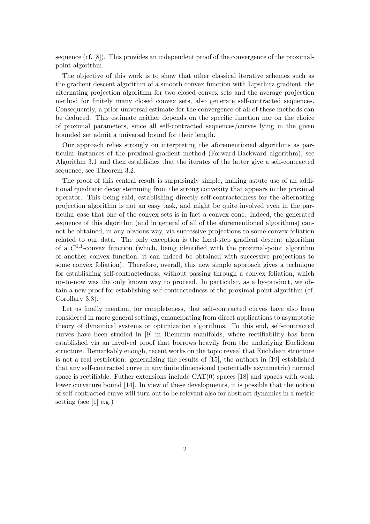sequence (cf. [8]). This provides an independent proof of the convergence of the proximalpoint algorithm.

The objective of this work is to show that other classical iterative schemes such as the gradient descent algorithm of a smooth convex function with Lipschitz gradient, the alternating projection algorithm for two closed convex sets and the average projection method for finitely many closed convex sets, also generate self-contracted sequences. Consequently, a prior universal estimate for the convergence of all of these methods can be deduced. This estimate neither depends on the specific function nor on the choice of proximal parameters, since all self-contracted sequences/curves lying in the given bounded set admit a universal bound for their length.

Our approach relies strongly on interpreting the aforementioned algorithms as particular instances of the proximal-gradient method (Forward-Backward algorithm), see Algorithm 3.1 and then establishes that the iterates of the latter give a self-contracted sequence, see Theorem 3.2.

The proof of this central result is surprisingly simple, making astute use of an additional quadratic decay stemming from the strong convexity that appears in the proximal operator. This being said, establishing directly self-contractedness for the alternating projection algorithm is not an easy task, and might be quite involved even in the particular case that one of the convex sets is in fact a convex cone. Indeed, the generated sequence of this algorithm (and in general of all of the aforementioned algorithms) cannot be obtained, in any obvious way, via successive projections to some convex foliation related to our data. The only exception is the fixed-step gradient descent algorithm of a  $C^{1,1}$ -convex function (which, being identified with the proximal-point algorithm of another convex function, it can indeed be obtained with successive projections to some convex foliation). Therefore, overall, this new simple approach gives a technique for establishing self-contractedness, without passing through a convex foliation, which up-to-now was the only known way to proceed. In particular, as a by-product, we obtain a new proof for establishing self-contractedness of the proximal-point algorithm (cf. Corollary 3.8).

Let us finally mention, for completeness, that self-contracted curves have also been considered in more general settings, emancipating from direct applications to asymptotic theory of dynamical systems or optimization algorithms. To this end, self-contracted curves have been studied in [9] in Riemann manifolds, where rectifiability has been established via an involved proof that borrows heavily from the underlying Euclidean structure. Remarkably enough, recent works on the topic reveal that Euclidean structure is not a real restriction: generalizing the results of [15], the authors in [19] established that any self-contracted curve in any finite dimensional (potentially asymmetric) normed space is rectifiable. Futher extensions include  $CAT(0)$  spaces [18] and spaces with weak lower curvature bound [14]. In view of these developments, it is possible that the notion of self-contracted curve will turn out to be relevant also for abstract dynamics in a metric setting (see [1] e.g.)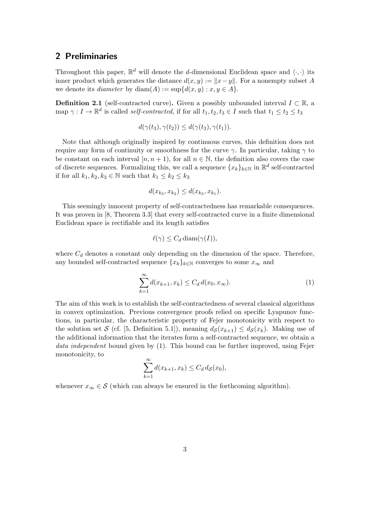### 2 Preliminaries

Throughout this paper,  $\mathbb{R}^d$  will denote the d-dimensional Euclidean space and  $\langle \cdot, \cdot \rangle$  its inner product which generates the distance  $d(x, y) := ||x - y||$ . For a nonempty subset A we denote its *diameter* by  $diam(A) := sup{d(x, y) : x, y \in A}$ .

**Definition 2.1** (self-contracted curve). Given a possibly unbounded interval  $I \subset \mathbb{R}$ , a map  $\gamma: I \to \mathbb{R}^d$  is called *self-contracted*, if for all  $t_1, t_2, t_3 \in I$  such that  $t_1 \le t_2 \le t_3$ 

$$
d(\gamma(t_3), \gamma(t_2)) \leq d(\gamma(t_3), \gamma(t_1)).
$$

Note that although originally inspired by continuous curves, this definition does not require any form of continuity or smoothness for the curve  $\gamma$ . In particular, taking  $\gamma$  to be constant on each interval  $[n, n+1)$ , for all  $n \in \mathbb{N}$ , the definition also covers the case of discrete sequences. Formalizing this, we call a sequence  $\{x_k\}_{k\in\mathbb{N}}$  in  $\mathbb{R}^d$  self-contracted if for all  $k_1, k_2, k_3 \in \mathbb{N}$  such that  $k_1 \leq k_2 \leq k_3$ 

$$
d(x_{k_3}, x_{k_2}) \leq d(x_{k_3}, x_{k_1}).
$$

This seemingly innocent property of self-contractedness has remarkable consequences. It was proven in [8, Theorem 3.3] that every self-contracted curve in a finite dimensional Euclidean space is rectifiable and its length satisfies

$$
\ell(\gamma) \leq C_d \operatorname{diam}(\gamma(I)),
$$

where  $C_d$  denotes a constant only depending on the dimension of the space. Therefore, any bounded self-contracted sequence  $\{x_k\}_{k\in\mathbb{N}}$  converges to some  $x_\infty$  and

$$
\sum_{k=1}^{\infty} d(x_{k+1}, x_k) \le C_d d(x_0, x_{\infty}).
$$
\n(1)

The aim of this work is to establish the self-contractedness of several classical algorithms in convex optimization. Previous convergence proofs relied on specific Lyapunov functions, in particular, the characteristic property of Fejer monotonicity with respect to the solution set S (cf. [5, Definition 5.1]), meaning  $d_{\mathcal{S}}(x_{k+1}) \leq d_{\mathcal{S}}(x_k)$ . Making use of the additional information that the iterates form a self-contracted sequence, we obtain a data independent bound given by (1). This bound can be further improved, using Fejer monotonicity, to

$$
\sum_{k=1}^{\infty} d(x_{k+1}, x_k) \le C_d d_{\mathcal{S}}(x_0),
$$

whenever  $x_{\infty} \in \mathcal{S}$  (which can always be ensured in the forthcoming algorithm).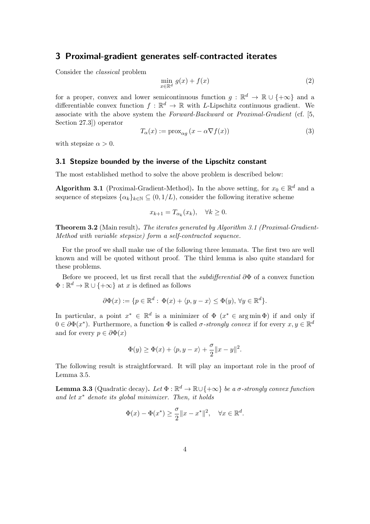# 3 Proximal-gradient generates self-contracted iterates

Consider the classical problem

$$
\min_{x \in \mathbb{R}^d} g(x) + f(x) \tag{2}
$$

for a proper, convex and lower semicontinuous function  $g : \mathbb{R}^d \to \mathbb{R} \cup \{+\infty\}$  and a differentiable convex function  $f : \mathbb{R}^d \to \mathbb{R}$  with L-Lipschitz continuous gradient. We associate with the above system the Forward-Backward or Proximal-Gradient (cf. [5, Section 27.3]) operator

$$
T_{\alpha}(x) := \text{prox}_{\alpha g} \left( x - \alpha \nabla f(x) \right) \tag{3}
$$

with stepsize  $\alpha > 0$ .

#### 3.1 Stepsize bounded by the inverse of the Lipschitz constant

The most established method to solve the above problem is described below:

**Algorithm 3.1** (Proximal-Gradient-Method). In the above setting, for  $x_0 \in \mathbb{R}^d$  and a sequence of stepsizes  $\{\alpha_k\}_{k\in\mathbb{N}} \subseteq (0, 1/L)$ , consider the following iterative scheme

 $x_{k+1} = T_{\alpha_k}(x_k), \quad \forall k \geq 0.$ 

**Theorem 3.2** (Main result). The iterates generated by Algorithm 3.1 (Proximal-Gradient-Method with variable stepsize) form a self-contracted sequence.

For the proof we shall make use of the following three lemmata. The first two are well known and will be quoted without proof. The third lemma is also quite standard for these problems.

Before we proceed, let us first recall that the subdifferential ∂Φ of a convex function  $\Phi : \mathbb{R}^d \to \mathbb{R} \cup \{+\infty\}$  at x is defined as follows

$$
\partial \Phi(x) := \{ p \in \mathbb{R}^d : \Phi(x) + \langle p, y - x \rangle \le \Phi(y), \forall y \in \mathbb{R}^d \}.
$$

In particular, a point  $x^* \in \mathbb{R}^d$  is a minimizer of  $\Phi$   $(x^* \in \arg \min \Phi)$  if and only if  $0 \in \partial \Phi(x^*)$ . Furthermore, a function  $\Phi$  is called  $\sigma$ -strongly convex if for every  $x, y \in \mathbb{R}^d$ and for every  $p \in \partial \Phi(x)$ 

$$
\Phi(y) \ge \Phi(x) + \langle p, y - x \rangle + \frac{\sigma}{2} ||x - y||^2.
$$

The following result is straightforward. It will play an important role in the proof of Lemma 3.5.

**Lemma 3.3** (Quadratic decay). Let  $\Phi : \mathbb{R}^d \to \mathbb{R} \cup \{+\infty\}$  be a  $\sigma$ -strongly convex function and let  $x^*$  denote its global minimizer. Then, it holds

$$
\Phi(x) - \Phi(x^*) \ge \frac{\sigma}{2} \|x - x^*\|^2, \quad \forall x \in \mathbb{R}^d.
$$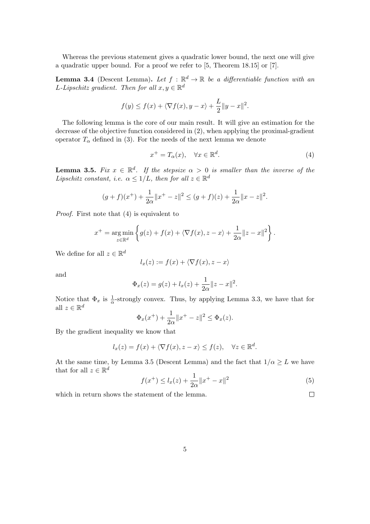Whereas the previous statement gives a quadratic lower bound, the next one will give a quadratic upper bound. For a proof we refer to [5, Theorem 18.15] or [7].

**Lemma 3.4** (Descent Lemma). Let  $f : \mathbb{R}^d \to \mathbb{R}$  be a differentiable function with an L-Lipschitz gradient. Then for all  $x, y \in \mathbb{R}^d$ 

$$
f(y) \le f(x) + \langle \nabla f(x), y - x \rangle + \frac{L}{2} \|y - x\|^2.
$$

The following lemma is the core of our main result. It will give an estimation for the decrease of the objective function considered in (2), when applying the proximal-gradient operator  $T_{\alpha}$  defined in (3). For the needs of the next lemma we denote

$$
x^{+} = T_{\alpha}(x), \quad \forall x \in \mathbb{R}^{d}.
$$
 (4)

**Lemma 3.5.** Fix  $x \in \mathbb{R}^d$ . If the stepsize  $\alpha > 0$  is smaller than the inverse of the Lipschitz constant, i.e.  $\alpha \leq 1/L$ , then for all  $z \in \mathbb{R}^d$ 

$$
(g+f)(x^+) + \frac{1}{2\alpha} \|x^+ - z\|^2 \le (g+f)(z) + \frac{1}{2\alpha} \|x - z\|^2.
$$

Proof. First note that (4) is equivalent to

$$
x^{+} = \underset{z \in \mathbb{R}^{d}}{\arg \min} \left\{ g(z) + f(x) + \langle \nabla f(x), z - x \rangle + \frac{1}{2\alpha} ||z - x||^{2} \right\}.
$$

We define for all  $z \in \mathbb{R}^d$ 

$$
l_x(z) := f(x) + \langle \nabla f(x), z - x \rangle
$$

and

$$
\Phi_x(z) = g(z) + l_x(z) + \frac{1}{2\alpha} ||z - x||^2.
$$

Notice that  $\Phi_x$  is  $\frac{1}{\alpha}$ -strongly convex. Thus, by applying Lemma 3.3, we have that for all  $z \in \mathbb{R}^d$ 

$$
\Phi_x(x^+) + \frac{1}{2\alpha} \|x^+ - z\|^2 \le \Phi_x(z).
$$

By the gradient inequality we know that

$$
l_x(z) = f(x) + \langle \nabla f(x), z - x \rangle \le f(z), \quad \forall z \in \mathbb{R}^d.
$$

At the same time, by Lemma 3.5 (Descent Lemma) and the fact that  $1/\alpha \geq L$  we have that for all  $z \in \mathbb{R}^d$ 

$$
f(x^{+}) \le l_{x}(z) + \frac{1}{2\alpha} \|x^{+} - x\|^{2}
$$
\n(5)

 $\hfill \square$ 

which in return shows the statement of the lemma.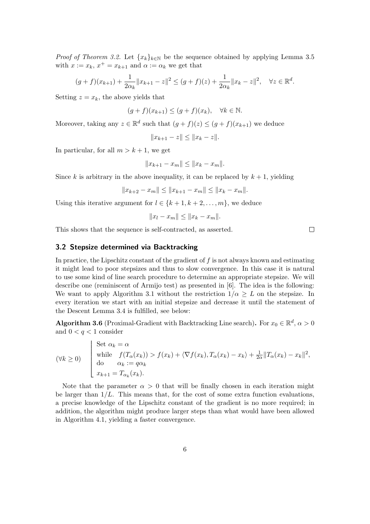*Proof of Theorem 3.2.* Let  ${x_k}_{k\in\mathbb{N}}$  be the sequence obtained by applying Lemma 3.5 with  $x := x_k$ ,  $x^+ = x_{k+1}$  and  $\alpha := \alpha_k$  we get that

$$
(g+f)(x_{k+1}) + \frac{1}{2\alpha_k} \|x_{k+1} - z\|^2 \le (g+f)(z) + \frac{1}{2\alpha_k} \|x_k - z\|^2, \quad \forall z \in \mathbb{R}^d.
$$

Setting  $z = x_k$ , the above yields that

$$
(g+f)(x_{k+1}) \le (g+f)(x_k), \quad \forall k \in \mathbb{N}.
$$

Moreover, taking any  $z \in \mathbb{R}^d$  such that  $(g + f)(z) \leq (g + f)(x_{k+1})$  we deduce

$$
||x_{k+1} - z|| \le ||x_k - z||.
$$

In particular, for all  $m > k + 1$ , we get

$$
||x_{k+1} - x_m|| \le ||x_k - x_m||.
$$

Since k is arbitrary in the above inequality, it can be replaced by  $k + 1$ , yielding

$$
||x_{k+2} - x_m|| \le ||x_{k+1} - x_m|| \le ||x_k - x_m||.
$$

Using this iterative argument for  $l \in \{k+1, k+2, \ldots, m\}$ , we deduce

$$
||x_l - x_m|| \leq ||x_k - x_m||.
$$

This shows that the sequence is self-contracted, as asserted.

#### 3.2 Stepsize determined via Backtracking

In practice, the Lipschitz constant of the gradient of  $f$  is not always known and estimating it might lead to poor stepsizes and thus to slow convergence. In this case it is natural to use some kind of line search procedure to determine an appropriate stepsize. We will describe one (reminiscent of Armijo test) as presented in [6]. The idea is the following: We want to apply Algorithm 3.1 without the restriction  $1/\alpha \geq L$  on the stepsize. In every iteration we start with an initial stepsize and decrease it until the statement of the Descent Lemma 3.4 is fulfilled, see below:

**Algorithm 3.6** (Proximal-Gradient with Backtracking Line search). For  $x_0 \in \mathbb{R}^d$ ,  $\alpha > 0$ and  $0 < q < 1$  consider

$$
(\forall k \ge 0) \qquad \begin{cases} \n\text{Set } \alpha_k = \alpha \\
\text{while} \quad f(T_\alpha(x_k)) > f(x_k) + \langle \nabla f(x_k), T_\alpha(x_k) - x_k \rangle + \frac{1}{2\alpha} \| T_\alpha(x_k) - x_k \|^2, \\
\text{do} \qquad \alpha_k := q\alpha_k \\
x_{k+1} = T_{\alpha_k}(x_k). \n\end{cases}
$$

Note that the parameter  $\alpha > 0$  that will be finally chosen in each iteration might be larger than  $1/L$ . This means that, for the cost of some extra function evaluations, a precise knowledge of the Lipschitz constant of the gradient is no more required; in addition, the algorithm might produce larger steps than what would have been allowed in Algorithm 4.1, yielding a faster convergence.

 $\Box$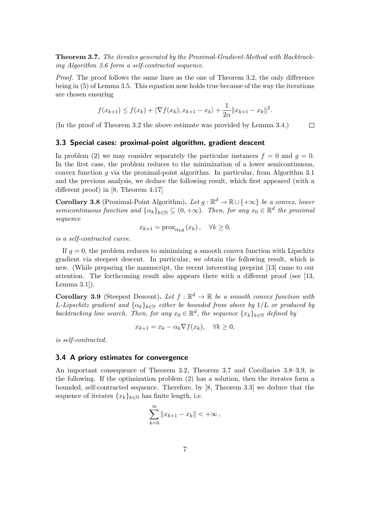Theorem 3.7. The iterates generated by the Proximal-Gradient-Method with Backtracking Algorithm 3.6 form a self-contracted sequence.

Proof. The proof follows the same lines as the one of Theorem 3.2, the only difference being in (5) of Lemma 3.5. This equation now holds true because of the way the iterations are chosen ensuring

$$
f(x_{k+1}) \le f(x_k) + \langle \nabla f(x_k), x_{k+1} - x_k \rangle + \frac{1}{2\alpha} \|x_{k+1} - x_k\|^2.
$$

(In the proof of Theorem 3.2 the above estimate was provided by Lemma 3.4.)  $\Box$ 

#### 3.3 Special cases: proximal-point algorithm, gradient descent

In problem (2) we may consider separately the particular instances  $f = 0$  and  $g = 0$ . In the first case, the problem reduces to the minimization of a lower semicontinuous, convex function  $q$  via the proximal-point algorithm. In particular, from Algorithm 3.1 and the previous analysis, we deduce the following result, which first appeared (with a different proof) in [8, Theorem 4.17]

**Corollary 3.8** (Proximal-Point Algorithm). Let  $g : \mathbb{R}^d \to \mathbb{R} \cup \{+\infty\}$  be a convex, lower semicontinuous function and  $\{\alpha_k\}_{k\in\mathbb{N}} \subseteq (0, +\infty)$ . Then, for any  $x_0 \in \mathbb{R}^d$  the proximal sequence

$$
x_{k+1} = \operatorname{prox}_{\alpha_k g} (x_k), \quad \forall k \ge 0,
$$

is a self-contracted curve.

If  $q = 0$ , the problem reduces to minimizing a smooth convex function with Lipschitz gradient via steepest descent. In particular, we obtain the following result, which is new. (While preparing the manuscript, the recent interesting preprint [13] came to our attention. The forthcoming result also appears there with a different proof (see [13, Lemma 3.1]).

**Corollary 3.9** (Steepest Descent). Let  $f : \mathbb{R}^d \to \mathbb{R}$  be a smooth convex function with L-Lipschitz gradient and  $\{\alpha_k\}_{k\in\mathbb{N}}$  either be bounded from above by  $1/L$  or produced by backtracking line search. Then, for any  $x_0 \in \mathbb{R}^d$ , the sequence  $\{x_k\}_{k \in \mathbb{N}}$  defined by

$$
x_{k+1} = x_k - \alpha_k \nabla f(x_k), \quad \forall k \ge 0,
$$

is self-contracted.

#### 3.4 A priory estimates for convergence

An important consequence of Theorem 3.2, Theorem 3.7 and Corollaries 3.8–3.9, is the following. If the optimization problem (2) has a solution, then the iterates form a bounded, self-contracted sequence. Therefore, by [8, Theorem 3.3] we deduce that the sequence of iterates  ${x_k}_{k\in\mathbb{N}}$  has finite length, i.e.

$$
\sum_{k=0}^{\infty} \|x_{k+1} - x_k\| < +\infty
$$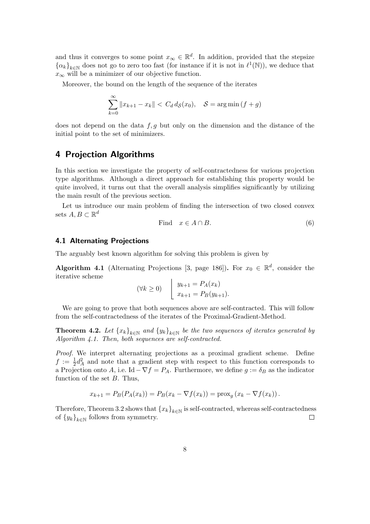and thus it converges to some point  $x_{\infty} \in \mathbb{R}^d$ . In addition, provided that the stepsize  ${\{\alpha_k\}}_{k\in\mathbb{N}}$  does not go to zero too fast (for instance if it is not in  $\ell^1(\mathbb{N})$ ), we deduce that  $x_{\infty}$  will be a minimizer of our objective function.

Moreover, the bound on the length of the sequence of the iterates

$$
\sum_{k=0}^{\infty} ||x_{k+1} - x_k|| < C_d d_{\mathcal{S}}(x_0), \quad \mathcal{S} = \arg\min\left(f + g\right)
$$

does not depend on the data  $f, g$  but only on the dimension and the distance of the initial point to the set of minimizers.

# 4 Projection Algorithms

In this section we investigate the property of self-contractedness for various projection type algorithms. Although a direct approach for establishing this property would be quite involved, it turns out that the overall analysis simplifies significantly by utilizing the main result of the previous section.

Let us introduce our main problem of finding the intersection of two closed convex sets  $A, B \subset \mathbb{R}^d$ 

$$
\text{Find} \quad x \in A \cap B. \tag{6}
$$

#### 4.1 Alternating Projections

The arguably best known algorithm for solving this problem is given by

**Algorithm 4.1** (Alternating Projections [3, page 186]). For  $x_0 \in \mathbb{R}^d$ , consider the iterative scheme

$$
(\forall k \ge 0) \quad \begin{array}{|l} \begin{array}{c} y_{k+1} = P_A(x_k) \\ x_{k+1} = P_B(y_{k+1}). \end{array} \end{array}
$$

We are going to prove that both sequences above are self-contracted. This will follow from the self-contractedness of the iterates of the Proximal-Gradient-Method.

**Theorem 4.2.** Let  $\{x_k\}_{k\in\mathbb{N}}$  and  $\{y_k\}_{k\in\mathbb{N}}$  be the two sequences of iterates generated by Algorithm 4.1. Then, both sequences are self-contracted.

Proof. We interpret alternating projections as a proximal gradient scheme. Define  $f := \frac{1}{2}d_A^2$  and note that a gradient step with respect to this function corresponds to a Projection onto A, i.e. Id  $-\nabla f = P_A$ . Furthermore, we define  $g := \delta_B$  as the indicator function of the set B. Thus,

$$
x_{k+1} = P_B(P_A(x_k)) = P_B(x_k - \nabla f(x_k)) = \text{prox}_g(x_k - \nabla f(x_k)).
$$

Therefore, Theorem 3.2 shows that  ${x_k}_{k\in\mathbb{N}}$  is self-contracted, whereas self-contractedness of  ${y_k}_{k\in\mathbb{N}}$  follows from symmetry.  $\Box$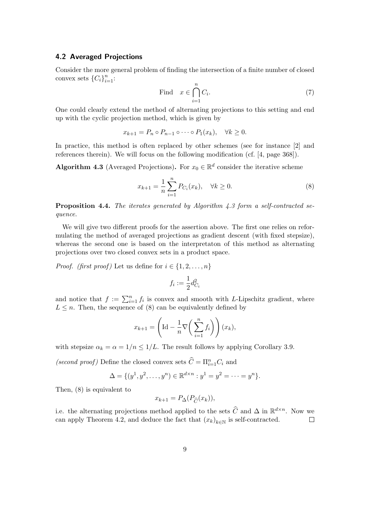### 4.2 Averaged Projections

Consider the more general problem of finding the intersection of a finite number of closed convex sets  $\{C_i\}_{i=1}^n$ :

Find 
$$
x \in \bigcap_{i=1}^{n} C_i
$$
. (7)

One could clearly extend the method of alternating projections to this setting and end up with the cyclic projection method, which is given by

$$
x_{k+1} = P_n \circ P_{n-1} \circ \cdots \circ P_1(x_k), \quad \forall k \ge 0.
$$

In practice, this method is often replaced by other schemes (see for instance [2] and references therein). We will focus on the following modification (cf. [4, page 368]).

**Algorithm 4.3** (Averaged Projections). For  $x_0 \in \mathbb{R}^d$  consider the iterative scheme

$$
x_{k+1} = \frac{1}{n} \sum_{i=1}^{n} P_{C_i}(x_k), \quad \forall k \ge 0.
$$
 (8)

**Proposition 4.4.** The iterates generated by Algorithm 4.3 form a self-contracted sequence.

We will give two different proofs for the assertion above. The first one relies on reformulating the method of averaged projections as gradient descent (with fixed stepsize), whereas the second one is based on the interpretaton of this method as alternating projections over two closed convex sets in a product space.

*Proof.* (first proof) Let us define for  $i \in \{1, 2, \ldots, n\}$ 

$$
f_i := \frac{1}{2}d_{C_i}^2
$$

and notice that  $f := \sum_{i=1}^n f_i$  is convex and smooth with L-Lipschitz gradient, where  $L \leq n$ . Then, the sequence of (8) can be equivalently defined by

$$
x_{k+1} = \left(\text{Id} - \frac{1}{n}\nabla\bigg(\sum_{i=1}^n f_i\bigg)\right)(x_k),
$$

with stepsize  $\alpha_k = \alpha = 1/n \leq 1/L$ . The result follows by applying Corollary 3.9.

(second proof) Define the closed convex sets  $\widehat{C} = \prod_{i=1}^{n} C_i$  and

$$
\Delta = \{(y^1, y^2, \dots, y^n) \in \mathbb{R}^{d \times n} : y^1 = y^2 = \dots = y^n\}.
$$

Then, (8) is equivalent to

$$
x_{k+1} = P_{\Delta}(P_{\widehat{C}}(x_k)),
$$

i.e. the alternating projections method applied to the sets  $\widehat{C}$  and  $\Delta$  in  $\mathbb{R}^{d \times n}$ . Now we can apply Theorem 4.2, and deduce the fact that  $(x_k)_{k \in \mathbb{N}}$  is self-contracted.  $\Box$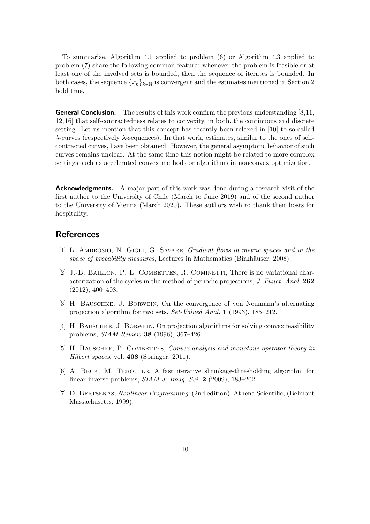To summarize, Algorithm 4.1 applied to problem (6) or Algorithm 4.3 applied to problem (7) share the following common feature: whenever the problem is feasible or at least one of the involved sets is bounded, then the sequence of iterates is bounded. In both cases, the sequence  ${x_k}_{k\in\mathbb{N}}$  is convergent and the estimates mentioned in Section 2 hold true.

**General Conclusion.** The results of this work confirm the previous understanding  $[8,11]$ , 12, 16] that self-contractedness relates to convexity, in both, the continuous and discrete setting. Let us mention that this concept has recently been relaxed in [10] to so-called λ-curves (respectively λ-sequences). In that work, estimates, similar to the ones of selfcontracted curves, have been obtained. However, the general asymptotic behavior of such curves remains unclear. At the same time this notion might be related to more complex settings such as accelerated convex methods or algorithms in nonconvex optimization.

Acknowledgments. A major part of this work was done during a research visit of the first author to the University of Chile (March to June 2019) and of the second author to the University of Vienna (March 2020). These authors wish to thank their hosts for hospitality.

# **References**

- [1] L. AMBROSIO, N. GIGLI, G. SAVARE, *Gradient flows in metric spaces and in the* space of probability measures, Lectures in Mathematics (Birkhäuser, 2008).
- [2] J.-B. BAILLON, P. L. COMBETTES, R. COMINETTI, There is no variational characterization of the cycles in the method of periodic projections, J. Funct. Anal. 262 (2012), 400–408.
- [3] H. Bauschke, J. Borwein, On the convergence of von Neumann's alternating projection algorithm for two sets, Set-Valued Anal. 1 (1993), 185–212.
- [4] H. Bauschke, J. Borwein, On projection algorithms for solving convex feasibility problems, SIAM Review 38 (1996), 367–426.
- [5] H. BAUSCHKE, P. COMBETTES, Convex analysis and monotone operator theory in Hilbert spaces, vol. 408 (Springer, 2011).
- [6] A. Beck, M. Teboulle, A fast iterative shrinkage-thresholding algorithm for linear inverse problems, *SIAM J. Imag. Sci.* **2** (2009), 183–202.
- [7] D. Bertsekas, Nonlinear Programming (2nd edition), Athena Scientific, (Belmont Massachusetts, 1999).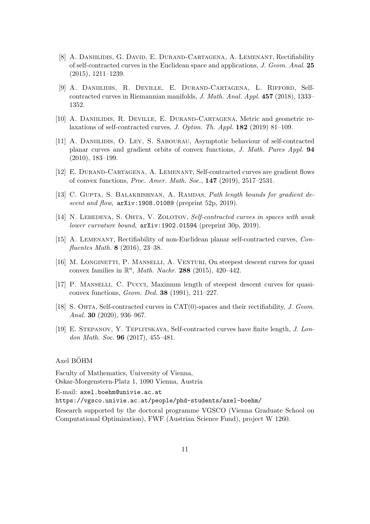- [8] A. DANIILIDIS, G. DAVID, E. DURAND-CARTAGENA, A. LEMENANT, Rectifiability of self-contracted curves in the Euclidean space and applications, J. Geom. Anal. 25 (2015), 1211–1239.
- [9] A. Daniilidis, R. Deville, E. Durand-Cartagena, L. Rifford, Selfcontracted curves in Riemannian manifolds, J. Math. Anal. Appl. 457 (2018), 1333– 1352.
- [10] A. DANIILIDIS, R. DEVILLE, E. DURAND-CARTAGENA, Metric and geometric relaxations of self-contracted curves, J. Optim. Th. Appl. 182 (2019) 81–109.
- [11] A. Daniilidis, O. Ley, S. Sabourau, Asymptotic behaviour of self-contracted planar curves and gradient orbits of convex functions, J. Math. Pures Appl. 94 (2010), 183–199.
- [12] E. Durand-Cartagena, A. Lemenant, Self-contracted curves are gradient flows of convex functions, Proc. Amer. Math. Soc., 147 (2019), 2517–2531.
- [13] C. GUPTA, S. BALAKRISHNAN, A. RAMDAS, Path length bounds for gradient descent and flow,  $arXiv:1908.01089$  (preprint 52p, 2019).
- [14] N. LEBEDEVA, S. OHTA, V. ZOLOTOV, Self-contracted curves in spaces with weak lower curvature bound, arXiv:1902.01594 (preprint 30p, 2019).
- [15] A. Lemenant, Rectifiability of non-Euclidean planar self-contracted curves, Confluentes Math. 8 (2016), 23–38.
- [16] M. LONGINETTI, P. MANSELLI, A. VENTURI, On steepest descent curves for quasi convex families in  $\mathbb{R}^n$ , *Math. Nachr.* **288** (2015), 420-442.
- [17] P. Manselli, C. Pucci, Maximum length of steepest descent curves for quasiconvex functions, Geom. Ded. 38 (1991), 211–227.
- [18] S. OHTA, Self-contracted curves in CAT(0)-spaces and their rectifiability, J. Geom. Anal. 30 (2020), 936–967.
- [19] E. Stepanov, Y. Teplitskaya, Self-contracted curves have finite length, J. London Math. Soc. 96 (2017), 455–481.

### Axel BÖHM

Faculty of Mathematics, University of Vienna, Oskar-Morgenstern-Platz 1, 1090 Vienna, Austria

E-mail: axel.boehm@univie.ac.at

https://vgsco.univie.ac.at/people/phd-students/axel-boehm/

Research supported by the doctoral programme VGSCO (Vienna Graduate School on Computational Optimization), FWF (Austrian Science Fund), project W 1260.